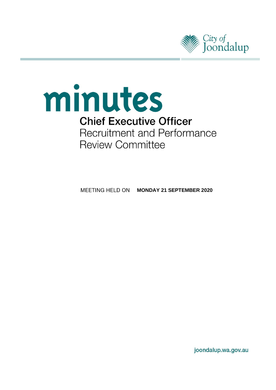

# minutes **Chief Executive Officer Recruitment and Performance Review Committee**

**MEETING HELD ON MONDAY 21 SEPTEMBER 2020** 

joondalup.wa.gov.au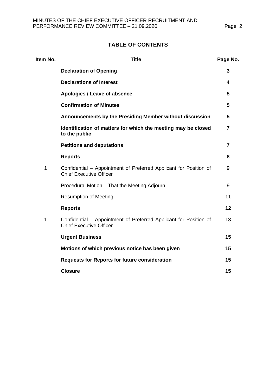# **TABLE OF CONTENTS**

| Item No.    | <b>Title</b>                                                                                        | Page No. |
|-------------|-----------------------------------------------------------------------------------------------------|----------|
|             | <b>Declaration of Opening</b>                                                                       | 3        |
|             | <b>Declarations of Interest</b>                                                                     | 4        |
|             | Apologies / Leave of absence                                                                        | 5        |
|             | <b>Confirmation of Minutes</b>                                                                      | 5        |
|             | Announcements by the Presiding Member without discussion                                            | 5        |
|             | Identification of matters for which the meeting may be closed<br>to the public                      | 7        |
|             | <b>Petitions and deputations</b>                                                                    | 7        |
|             | <b>Reports</b>                                                                                      | 8        |
| $\mathbf 1$ | Confidential – Appointment of Preferred Applicant for Position of<br><b>Chief Executive Officer</b> | 9        |
|             | Procedural Motion - That the Meeting Adjourn                                                        | 9        |
|             | <b>Resumption of Meeting</b>                                                                        | 11       |
|             | <b>Reports</b>                                                                                      | 12       |
| 1           | Confidential - Appointment of Preferred Applicant for Position of<br><b>Chief Executive Officer</b> | 13       |
|             | <b>Urgent Business</b>                                                                              | 15       |
|             | Motions of which previous notice has been given                                                     | 15       |
|             | <b>Requests for Reports for future consideration</b>                                                | 15       |
|             | <b>Closure</b>                                                                                      | 15       |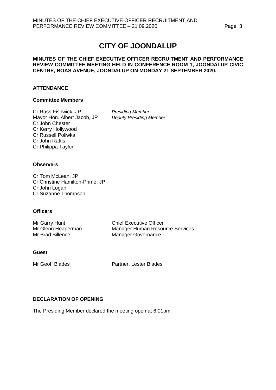# **CITY OF JOONDALUP**

## **MINUTES OF THE CHIEF EXECUTIVE OFFICER RECRUITMENT AND PERFORMANCE REVIEW COMMITTEE MEETING HELD IN CONFERENCE ROOM 1, JOONDALUP CIVIC CENTRE, BOAS AVENUE, JOONDALUP ON MONDAY 21 SEPTEMBER 2020.**

# **ATTENDANCE**

# **Committee Members**

Cr Russ Fishwick, JP *Presiding Member* Mayor Hon. Albert Jacob, JP *Deputy Presiding Member* Cr John Chester Cr Kerry Hollywood Cr Russell Poliwka Cr John Raftis Cr Philippa Taylor

# **Observers**

Cr Tom McLean, JP Cr Christine Hamilton-Prime, JP Cr John Logan Cr Suzanne Thompson

# **Officers**

| Mr Garry Hunt      | <b>Chief Executive Officer</b>         |
|--------------------|----------------------------------------|
| Mr Glenn Heaperman | <b>Manager Human Resource Services</b> |
| Mr Brad Sillence   | Manager Governance                     |

# **Guest**

Mr Geoff Blades Partner, Lester Blades

# <span id="page-2-0"></span>**DECLARATION OF OPENING**

The Presiding Member declared the meeting open at 6.01pm.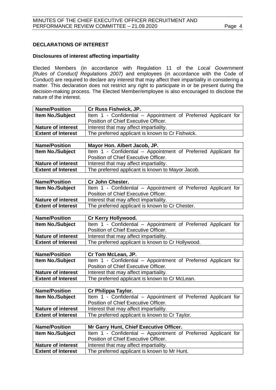# <span id="page-3-0"></span>**DECLARATIONS OF INTEREST**

# **Disclosures of interest affecting impartiality**

Elected Members (in accordance with Regulation 11 of the *Local Government [Rules of Conduct] Regulations 2007)* and employees (in accordance with the Code of Conduct) are required to declare any interest that may affect their impartiality in considering a matter. This declaration does not restrict any right to participate in or be present during the decision-making process. The Elected Member/employee is also encouraged to disclose the nature of the interest.

| <b>Name/Position</b>      | <b>Cr Russ Fishwick, JP.</b>                                   |
|---------------------------|----------------------------------------------------------------|
| <b>Item No./Subject</b>   | Item 1 - Confidential – Appointment of Preferred Applicant for |
|                           | Position of Chief Executive Officer.                           |
| <b>Nature of interest</b> | Interest that may affect impartiality.                         |
| <b>Extent of Interest</b> | The preferred applicant is known to Cr Fishwick.               |

| <b>Name/Position</b>      | Mayor Hon. Albert Jacob, JP.                                   |
|---------------------------|----------------------------------------------------------------|
| <b>Item No./Subject</b>   | Item 1 - Confidential – Appointment of Preferred Applicant for |
|                           | Position of Chief Executive Officer.                           |
| <b>Nature of interest</b> | Interest that may affect impartiality.                         |
| <b>Extent of Interest</b> | The preferred applicant is known to Mayor Jacob.               |

| <b>Name/Position</b>      | <b>Cr John Chester.</b>                                        |
|---------------------------|----------------------------------------------------------------|
| <b>Item No./Subject</b>   | Item 1 - Confidential – Appointment of Preferred Applicant for |
|                           | Position of Chief Executive Officer.                           |
| <b>Nature of interest</b> | Interest that may affect impartiality.                         |
| <b>Extent of Interest</b> | The preferred applicant is known to Cr Chester.                |

| Cr Kerry Hollywood.                                            |
|----------------------------------------------------------------|
| Item 1 - Confidential – Appointment of Preferred Applicant for |
| Position of Chief Executive Officer.                           |
| Interest that may affect impartiality.                         |
| The preferred applicant is known to Cr Hollywood.              |
|                                                                |

| <b>Name/Position</b>      | Cr Tom McLean, JP.                                             |
|---------------------------|----------------------------------------------------------------|
| <b>Item No./Subject</b>   | Item 1 - Confidential – Appointment of Preferred Applicant for |
|                           | Position of Chief Executive Officer.                           |
| <b>Nature of interest</b> | Interest that may affect impartiality.                         |
| <b>Extent of Interest</b> | The preferred applicant is known to Cr McLean.                 |

| <b>Name/Position</b>      | <b>Cr Philippa Taylor.</b>                                     |
|---------------------------|----------------------------------------------------------------|
| <b>Item No./Subject</b>   | Item 1 - Confidential – Appointment of Preferred Applicant for |
|                           | Position of Chief Executive Officer.                           |
| <b>Nature of interest</b> | Interest that may affect impartiality.                         |
| <b>Extent of Interest</b> | The preferred applicant is known to Cr Taylor.                 |

| <b>Name/Position</b>      | Mr Garry Hunt, Chief Executive Officer.                        |
|---------------------------|----------------------------------------------------------------|
| <b>Item No./Subject</b>   | Item 1 - Confidential – Appointment of Preferred Applicant for |
|                           | Position of Chief Executive Officer.                           |
| <b>Nature of interest</b> | Interest that may affect impartiality.                         |
| <b>Extent of Interest</b> | The preferred applicant is known to Mr Hunt.                   |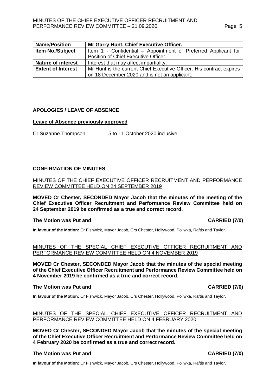|--|

| <b>Name/Position</b>      | Mr Garry Hunt, Chief Executive Officer.                              |
|---------------------------|----------------------------------------------------------------------|
| <b>Item No./Subject</b>   | Item 1 - Confidential – Appointment of Preferred Applicant for       |
|                           | Position of Chief Executive Officer.                                 |
| <b>Nature of interest</b> | Interest that may affect impartiality.                               |
| <b>Extent of Interest</b> | Mr Hunt is the current Chief Executive Officer. His contract expires |
|                           | on 18 December 2020 and is not an applicant.                         |

# <span id="page-4-0"></span>**APOLOGIES / LEAVE OF ABSENCE**

### **Leave of Absence previously approved**

<span id="page-4-1"></span>Cr Suzanne Thompson 5 to 11 October 2020 inclusive.

# **CONFIRMATION OF MINUTES**

MINUTES OF THE CHIEF EXECUTIVE OFFICER RECRUITMENT AND PERFORMANCE REVIEW COMMITTEE HELD ON 24 SEPTEMBER 2019

**MOVED Cr Chester, SECONDED Mayor Jacob that the minutes of the meeting of the Chief Executive Officer Recruitment and Performance Review Committee held on 24 September 2019 be confirmed as a true and correct record.**

### **The Motion was Put and CARRIED (7/0)**

**In favour of the Motion:** Cr Fishwick, Mayor Jacob, Crs Chester, Hollywood, Poliwka, Raftis and Taylor.

### MINUTES OF THE SPECIAL CHIEF EXECUTIVE OFFICER RECRUITMENT AND PERFORMANCE REVIEW COMMITTEE HELD ON 4 NOVEMBER 2019

**MOVED Cr Chester, SECONDED Mayor Jacob that the minutes of the special meeting of the Chief Executive Officer Recruitment and Performance Review Committee held on 4 November 2019 be confirmed as a true and correct record.**

### **The Motion was Put and CARRIED (7/0)**

**In favour of the Motion:** Cr Fishwick, Mayor Jacob, Crs Chester, Hollywood, Poliwka, Raftis and Taylor.

# MINUTES OF THE SPECIAL CHIEF EXECUTIVE OFFICER RECRUITMENT AND PERFORMANCE REVIEW COMMITTEE HELD ON 4 FEBRUARY 2020

**MOVED Cr Chester, SECONDED Mayor Jacob that the minutes of the special meeting of the Chief Executive Officer Recruitment and Performance Review Committee held on 4 February 2020 be confirmed as a true and correct record.**

# **The Motion was Put and CARRIED (7/0)**

**In favour of the Motion:** Cr Fishwick, Mayor Jacob, Crs Chester, Hollywood, Poliwka, Raftis and Taylor.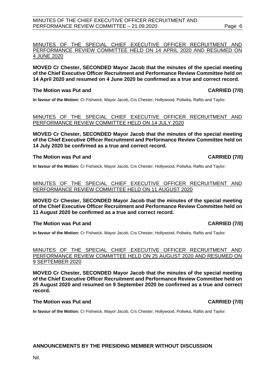# MINUTES OF THE CHIEF EXECUTIVE OFFICER RECRUITMENT AND PERFORMANCE REVIEW COMMITTEE - 21.09.2020 Page 6

# MINUTES OF THE SPECIAL CHIEF EXECUTIVE OFFICER RECRUITMENT AND PERFORMANCE REVIEW COMMITTEE HELD ON 14 APRIL 2020 AND RESUMED ON 4 JUNE 2020

**MOVED Cr Chester, SECONDED Mayor Jacob that the minutes of the special meeting of the Chief Executive Officer Recruitment and Performance Review Committee held on 14 April 2020 and resumed on 4 June 2020 be confirmed as a true and correct record.**

# **The Motion was Put and CARRIED (7/0)**

**In favour of the Motion:** Cr Fishwick, Mayor Jacob, Crs Chester, Hollywood, Poliwka, Raftis and Taylor.

# MINUTES OF THE SPECIAL CHIEF EXECUTIVE OFFICER RECRUITMENT AND PERFORMANCE REVIEW COMMITTEE HELD ON 14 JULY 2020

**MOVED Cr Chester, SECONDED Mayor Jacob that the minutes of the special meeting of the Chief Executive Officer Recruitment and Performance Review Committee held on 14 July 2020 be confirmed as a true and correct record.**

# **The Motion was Put and CARRIED (7/0)**

**In favour of the Motion:** Cr Fishwick, Mayor Jacob, Crs Chester, Hollywood, Poliwka, Raftis and Taylor.

# MINUTES OF THE SPECIAL CHIEF EXECUTIVE OFFICER RECRUITMENT AND PERFORMANCE REVIEW COMMITTEE HELD ON 11 AUGUST 2020

**MOVED Cr Chester, SECONDED Mayor Jacob that the minutes of the special meeting of the Chief Executive Officer Recruitment and Performance Review Committee held on 11 August 2020 be confirmed as a true and correct record.**

# **The Motion was Put and CARRIED (7/0)**

**In favour of the Motion:** Cr Fishwick, Mayor Jacob, Crs Chester, Hollywood, Poliwka, Raftis and Taylor.

# MINUTES OF THE SPECIAL CHIEF EXECUTIVE OFFICER RECRUITMENT AND PERFORMANCE REVIEW COMMITTEE HELD ON 25 AUGUST 2020 AND RESUMED ON 9 SEPTEMBER 2020

**MOVED Cr Chester, SECONDED Mayor Jacob that the minutes of the special meeting of the Chief Executive Officer Recruitment and Performance Review Committee held on 25 August 2020 and resumed on 9 September 2020 be confirmed as a true and correct record.**

# **The Motion was Put and CARRIED (7/0)**

**In favour of the Motion:** Cr Fishwick, Mayor Jacob, Crs Chester, Hollywood, Poliwka, Raftis and Taylor.

# **ANNOUNCEMENTS BY THE PRESIDING MEMBER WITHOUT DISCUSSION**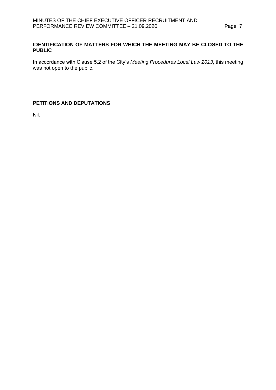# <span id="page-6-0"></span>**IDENTIFICATION OF MATTERS FOR WHICH THE MEETING MAY BE CLOSED TO THE PUBLIC**

In accordance with Clause 5.2 of the City's *Meeting Procedures Local Law 2013*, this meeting was not open to the public.

# <span id="page-6-1"></span>**PETITIONS AND DEPUTATIONS**

Nil.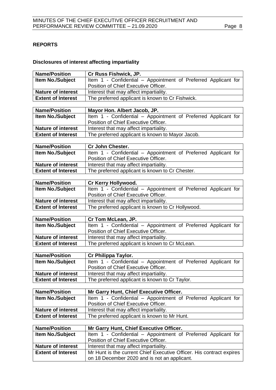# <span id="page-7-0"></span>**REPORTS**

# **Disclosures of interest affecting impartiality**

| <b>Name/Position</b>                            | Cr Russ Fishwick, JP.                                                                                  |
|-------------------------------------------------|--------------------------------------------------------------------------------------------------------|
| <b>Item No./Subject</b>                         | Item 1 - Confidential - Appointment of Preferred Applicant for                                         |
|                                                 | Position of Chief Executive Officer.                                                                   |
| <b>Nature of interest</b>                       | Interest that may affect impartiality.                                                                 |
| <b>Extent of Interest</b>                       | The preferred applicant is known to Cr Fishwick.                                                       |
|                                                 |                                                                                                        |
| <b>Name/Position</b>                            | Mayor Hon. Albert Jacob, JP.                                                                           |
| Item No./Subject                                | Item 1 - Confidential - Appointment of Preferred Applicant for                                         |
|                                                 | Position of Chief Executive Officer.                                                                   |
| <b>Nature of interest</b>                       | Interest that may affect impartiality.                                                                 |
| <b>Extent of Interest</b>                       | The preferred applicant is known to Mayor Jacob.                                                       |
|                                                 |                                                                                                        |
| <b>Name/Position</b>                            | <b>Cr John Chester.</b>                                                                                |
| Item No./Subject                                | Item 1 - Confidential - Appointment of Preferred Applicant for                                         |
|                                                 | Position of Chief Executive Officer.                                                                   |
| Nature of interest<br><b>Extent of Interest</b> | Interest that may affect impartiality.                                                                 |
|                                                 | The preferred applicant is known to Cr Chester.                                                        |
| <b>Name/Position</b>                            | Cr Kerry Hollywood.                                                                                    |
| <b>Item No./Subject</b>                         | Item 1 - Confidential - Appointment of Preferred Applicant for                                         |
|                                                 | Position of Chief Executive Officer.                                                                   |
| <b>Nature of interest</b>                       | Interest that may affect impartiality.                                                                 |
| <b>Extent of Interest</b>                       | The preferred applicant is known to Cr Hollywood.                                                      |
|                                                 |                                                                                                        |
|                                                 |                                                                                                        |
| <b>Name/Position</b>                            | Cr Tom McLean, JP.                                                                                     |
| Item No./Subject                                | Item 1 - Confidential - Appointment of Preferred Applicant for                                         |
|                                                 | Position of Chief Executive Officer.                                                                   |
| <b>Nature of interest</b>                       | Interest that may affect impartiality.                                                                 |
| <b>Extent of Interest</b>                       | The preferred applicant is known to Cr McLean.                                                         |
|                                                 |                                                                                                        |
| <b>Name/Position</b>                            | Cr Philippa Taylor.                                                                                    |
| Item No./Subject                                | Item 1 - Confidential - Appointment of Preferred Applicant for                                         |
|                                                 | Position of Chief Executive Officer.                                                                   |
| <b>Nature of interest</b>                       | Interest that may affect impartiality.                                                                 |
| <b>Extent of Interest</b>                       | The preferred applicant is known to Cr Taylor.                                                         |
|                                                 |                                                                                                        |
| <b>Name/Position</b>                            | Mr Garry Hunt, Chief Executive Officer.                                                                |
| <b>Item No./Subject</b>                         | Item 1 - Confidential - Appointment of Preferred Applicant for<br>Position of Chief Executive Officer. |
| <b>Nature of interest</b>                       |                                                                                                        |
| <b>Extent of Interest</b>                       | Interest that may affect impartiality.                                                                 |
|                                                 | The preferred applicant is known to Mr Hunt.                                                           |
| <b>Name/Position</b>                            | <b>Mr Garry Hunt, Chief Executive Officer.</b>                                                         |
| <b>Item No./Subject</b>                         | Item 1 - Confidential - Appointment of Preferred Applicant for                                         |
|                                                 | Position of Chief Executive Officer.                                                                   |
| <b>Nature of interest</b>                       | Interest that may affect impartiality.                                                                 |
| <b>Extent of Interest</b>                       | Mr Hunt is the current Chief Executive Officer. His contract expires                                   |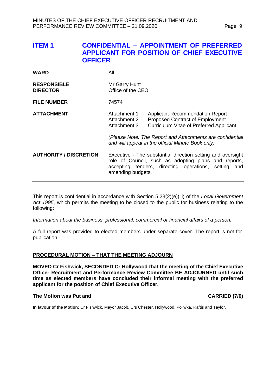<span id="page-8-0"></span>

| <b>ITEM1</b> | <b>CONFIDENTIAL - APPOINTMENT OF PREFERRED</b>   |
|--------------|--------------------------------------------------|
|              | <b>APPLICANT FOR POSITION OF CHIEF EXECUTIVE</b> |
|              | <b>OFFICER</b>                                   |

| <b>WARD</b>                           | All                                                                                                                                                                                                 |                                                                                                                                                                                                                                                      |  |
|---------------------------------------|-----------------------------------------------------------------------------------------------------------------------------------------------------------------------------------------------------|------------------------------------------------------------------------------------------------------------------------------------------------------------------------------------------------------------------------------------------------------|--|
| <b>RESPONSIBLE</b><br><b>DIRECTOR</b> | Mr Garry Hunt<br>Office of the CEO                                                                                                                                                                  |                                                                                                                                                                                                                                                      |  |
| <b>FILE NUMBER</b>                    | 74574                                                                                                                                                                                               |                                                                                                                                                                                                                                                      |  |
| <b>ATTACHMENT</b>                     | Attachment 1<br>Attachment 2<br>Attachment 3                                                                                                                                                        | <b>Applicant Recommendation Report</b><br><b>Proposed Contract of Employment</b><br><b>Curriculum Vitae of Preferred Applicant</b><br>(Please Note: The Report and Attachments are confidential<br>and will appear in the official Minute Book only) |  |
| <b>AUTHORITY / DISCRETION</b>         | Executive - The substantial direction setting and oversight<br>role of Council, such as adopting plans and reports,<br>accepting tenders, directing operations, setting<br>and<br>amending budgets. |                                                                                                                                                                                                                                                      |  |

This report is confidential in accordance with Section 5.23(2)(e)(iii) of the *Local Government Act 1995*, which permits the meeting to be closed to the public for business relating to the following:

*Information about the business, professional, commercial or financial affairs of a person.*

A full report was provided to elected members under separate cover. The report is not for publication.

### <span id="page-8-1"></span>**PROCEDURAL MOTION – THAT THE MEETING ADJOURN**

**MOVED Cr Fishwick, SECONDED Cr Hollywood that the meeting of the Chief Executive Officer Recruitment and Performance Review Committee BE ADJOURNED until such time as elected members have concluded their informal meeting with the preferred applicant for the position of Chief Executive Officer.** 

# **The Motion was Put and CARRIED (7/0)**

**In favour of the Motion:** Cr Fishwick, Mayor Jacob, Crs Chester, Hollywood, Poliwka, Raftis and Taylor.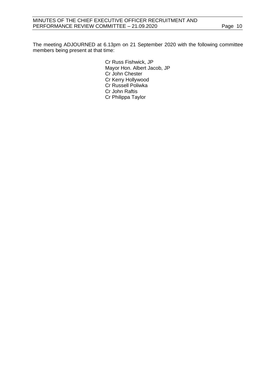The meeting ADJOURNED at 6.13pm on 21 September 2020 with the following committee members being present at that time:

> Cr Russ Fishwick, JP Mayor Hon. Albert Jacob, JP Cr John Chester Cr Kerry Hollywood Cr Russell Poliwka Cr John Raftis Cr Philippa Taylor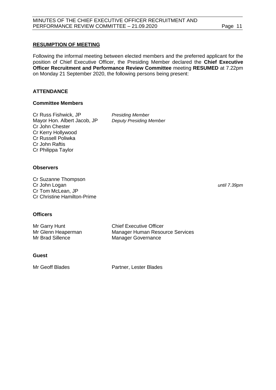# <span id="page-10-0"></span>**RESUMPTION OF MEETING**

Following the informal meeting between elected members and the preferred applicant for the position of Chief Executive Officer, the Presiding Member declared the **Chief Executive Officer Recruitment and Performance Review Committee** meeting **RESUMED** at 7.22pm on Monday 21 September 2020, the following persons being present:

# **ATTENDANCE**

# **Committee Members**

Cr Russ Fishwick, JP *Presiding Member* Mayor Hon. Albert Jacob, JP *Deputy Presiding Member* Cr John Chester Cr Kerry Hollywood Cr Russell Poliwka Cr John Raftis Cr Philippa Taylor

# **Observers**

Cr Suzanne Thompson Cr John Logan *until 7.39pm* Cr Tom McLean, JP Cr Christine Hamilton-Prime

# **Officers**

| Mr Garry Hunt      | <b>Chief Executive Officer</b>         |
|--------------------|----------------------------------------|
| Mr Glenn Heaperman | <b>Manager Human Resource Services</b> |
| Mr Brad Sillence   | <b>Manager Governance</b>              |

# **Guest**

Mr Geoff Blades **Partner**, Lester Blades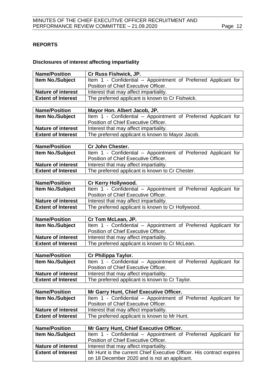# <span id="page-11-0"></span>**REPORTS**

# **Disclosures of interest affecting impartiality**

| <b>Name/Position</b>                                   | Cr Russ Fishwick, JP.                                                                                                |
|--------------------------------------------------------|----------------------------------------------------------------------------------------------------------------------|
| <b>Item No./Subject</b>                                | Item 1 - Confidential - Appointment of Preferred Applicant for                                                       |
|                                                        | Position of Chief Executive Officer.                                                                                 |
| <b>Nature of interest</b>                              | Interest that may affect impartiality.                                                                               |
| <b>Extent of Interest</b>                              | The preferred applicant is known to Cr Fishwick.                                                                     |
|                                                        |                                                                                                                      |
| <b>Name/Position</b>                                   | Mayor Hon. Albert Jacob, JP.                                                                                         |
| Item No./Subject                                       | Item 1 - Confidential - Appointment of Preferred Applicant for                                                       |
|                                                        | Position of Chief Executive Officer.                                                                                 |
| <b>Nature of interest</b>                              | Interest that may affect impartiality.                                                                               |
| <b>Extent of Interest</b>                              | The preferred applicant is known to Mayor Jacob.                                                                     |
|                                                        |                                                                                                                      |
| <b>Name/Position</b>                                   | <b>Cr John Chester.</b>                                                                                              |
| Item No./Subject                                       | Item 1 - Confidential - Appointment of Preferred Applicant for                                                       |
|                                                        | Position of Chief Executive Officer.                                                                                 |
| <b>Nature of interest</b><br><b>Extent of Interest</b> | Interest that may affect impartiality.                                                                               |
|                                                        | The preferred applicant is known to Cr Chester.                                                                      |
| <b>Name/Position</b>                                   | Cr Kerry Hollywood.                                                                                                  |
| <b>Item No./Subject</b>                                | Item 1 - Confidential - Appointment of Preferred Applicant for                                                       |
|                                                        | Position of Chief Executive Officer.                                                                                 |
| <b>Nature of interest</b>                              | Interest that may affect impartiality.                                                                               |
| <b>Extent of Interest</b>                              | The preferred applicant is known to Cr Hollywood.                                                                    |
|                                                        |                                                                                                                      |
|                                                        |                                                                                                                      |
| <b>Name/Position</b>                                   | Cr Tom McLean, JP.                                                                                                   |
| Item No./Subject                                       | Item 1 - Confidential - Appointment of Preferred Applicant for                                                       |
|                                                        | Position of Chief Executive Officer.                                                                                 |
| <b>Nature of interest</b>                              | Interest that may affect impartiality.                                                                               |
| <b>Extent of Interest</b>                              | The preferred applicant is known to Cr McLean.                                                                       |
|                                                        |                                                                                                                      |
| <b>Name/Position</b>                                   | Cr Philippa Taylor.                                                                                                  |
| Item No./Subject                                       | Item 1 - Confidential - Appointment of Preferred Applicant for                                                       |
|                                                        | Position of Chief Executive Officer.                                                                                 |
| <b>Nature of interest</b>                              | Interest that may affect impartiality.                                                                               |
| <b>Extent of Interest</b>                              | The preferred applicant is known to Cr Taylor.                                                                       |
| <b>Name/Position</b>                                   |                                                                                                                      |
| <b>Item No./Subject</b>                                | Mr Garry Hunt, Chief Executive Officer.<br>Item 1 - Confidential - Appointment of Preferred Applicant for            |
|                                                        | Position of Chief Executive Officer.                                                                                 |
| <b>Nature of interest</b>                              | Interest that may affect impartiality.                                                                               |
| <b>Extent of Interest</b>                              | The preferred applicant is known to Mr Hunt.                                                                         |
|                                                        |                                                                                                                      |
| <b>Name/Position</b>                                   | <b>Mr Garry Hunt, Chief Executive Officer.</b>                                                                       |
| <b>Item No./Subject</b>                                | Item 1 - Confidential - Appointment of Preferred Applicant for                                                       |
|                                                        | Position of Chief Executive Officer.                                                                                 |
| <b>Nature of interest</b>                              | Interest that may affect impartiality.                                                                               |
| <b>Extent of Interest</b>                              | Mr Hunt is the current Chief Executive Officer. His contract expires<br>on 18 December 2020 and is not an applicant. |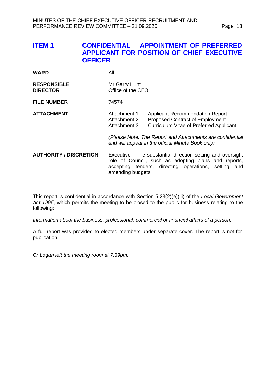<span id="page-12-0"></span>

| <b>ITEM1</b> | <b>CONFIDENTIAL - APPOINTMENT OF PREFERRED</b>   |
|--------------|--------------------------------------------------|
|              | <b>APPLICANT FOR POSITION OF CHIEF EXECUTIVE</b> |
|              | <b>OFFICER</b>                                   |

| <b>WARD</b>                           | All                                                                                                                                                                                              |                                                                                                                                    |
|---------------------------------------|--------------------------------------------------------------------------------------------------------------------------------------------------------------------------------------------------|------------------------------------------------------------------------------------------------------------------------------------|
| <b>RESPONSIBLE</b><br><b>DIRECTOR</b> | Mr Garry Hunt<br>Office of the CEO                                                                                                                                                               |                                                                                                                                    |
| <b>FILE NUMBER</b>                    | 74574                                                                                                                                                                                            |                                                                                                                                    |
| <b>ATTACHMENT</b>                     | Attachment 1<br>Attachment 2<br>Attachment 3                                                                                                                                                     | <b>Applicant Recommendation Report</b><br><b>Proposed Contract of Employment</b><br><b>Curriculum Vitae of Preferred Applicant</b> |
|                                       |                                                                                                                                                                                                  | (Please Note: The Report and Attachments are confidential<br>and will appear in the official Minute Book only)                     |
| <b>AUTHORITY / DISCRETION</b>         | Executive - The substantial direction setting and oversight<br>role of Council, such as adopting plans and reports,<br>accepting tenders, directing operations, setting and<br>amending budgets. |                                                                                                                                    |

This report is confidential in accordance with Section 5.23(2)(e)(iii) of the *Local Government Act 1995*, which permits the meeting to be closed to the public for business relating to the following:

*Information about the business, professional, commercial or financial affairs of a person.*

A full report was provided to elected members under separate cover. The report is not for publication.

*Cr Logan left the meeting room at 7.39pm.*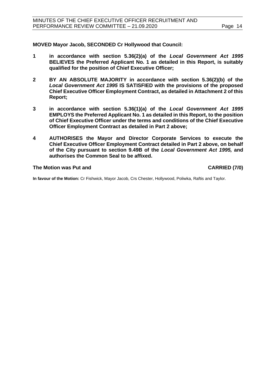**MOVED Mayor Jacob, SECONDED Cr Hollywood that Council:**

- **1 in accordance with section 5.36(2)(a) of the** *Local Government Act 1995*  **BELIEVES the Preferred Applicant No. 1 as detailed in this Report, is suitably qualified for the position of Chief Executive Officer;**
- **2 BY AN ABSOLUTE MAJORITY in accordance with section 5.36(2)(b) of the**  *Local Government Act 1995* **IS SATISFIED with the provisions of the proposed Chief Executive Officer Employment Contract, as detailed in Attachment 2 of this Report;**
- **3 in accordance with section 5.36(1)(a) of the** *Local Government Act 1995*  **EMPLOYS the Preferred Applicant No. 1 as detailed in this Report, to the position of Chief Executive Officer under the terms and conditions of the Chief Executive Officer Employment Contract as detailed in Part 2 above;**
- **4 AUTHORISES the Mayor and Director Corporate Services to execute the Chief Executive Officer Employment Contract detailed in Part 2 above, on behalf of the City pursuant to section 9.49B of the** *Local Government Act 1995,* **and authorises the Common Seal to be affixed.**

### **The Motion was Put and CARRIED (7/0)**

**In favour of the Motion:** Cr Fishwick, Mayor Jacob, Crs Chester, Hollywood, Poliwka, Raftis and Taylor.